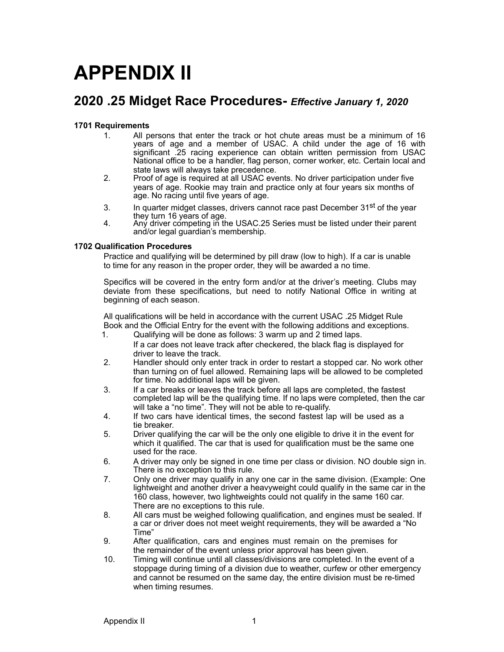# **APPENDIX II**

# **2020 .25 Midget Race Procedures-** *Effective January 1, 2020*

#### **1701 Requirements**

- 1. All persons that enter the track or hot chute areas must be a minimum of 16 years of age and a member of USAC. A child under the age of 16 with significant .25 racing experience can obtain written permission from USAC National office to be a handler, flag person, corner worker, etc. Certain local and state laws will always take precedence.
- 2. Proof of age is required at all USAC events. No driver participation under five years of age. Rookie may train and practice only at four years six months of age. No racing until five years of age.
- 3. In quarter midget classes, drivers cannot race past December 31<sup>st</sup> of the year they turn 16 years of age. 4. Any driver competing in the USAC.25 Series must be listed under their parent
- and/or legal guardian's membership.

#### **1702 Qualification Procedures**

Practice and qualifying will be determined by pill draw (low to high). If a car is unable to time for any reason in the proper order, they will be awarded a no time.

Specifics will be covered in the entry form and/or at the driver's meeting. Clubs may deviate from these specifications, but need to notify National Office in writing at beginning of each season.

All qualifications will be held in accordance with the current USAC .25 Midget Rule Book and the Official Entry for the event with the following additions and exceptions.

- 1. Qualifying will be done as follows: 3 warm up and 2 timed laps. If a car does not leave track after checkered, the black flag is displayed for
- driver to leave the track. 2. Handler should only enter track in order to restart a stopped car. No work other than turning on of fuel allowed. Remaining laps will be allowed to be completed
- for time. No additional laps will be given. 3. If a car breaks or leaves the track before all laps are completed, the fastest completed lap will be the qualifying time. If no laps were completed, then the car
- will take a "no time". They will not be able to re-qualify. 4. If two cars have identical times, the second fastest lap will be used as a tie breaker.
- 5. Driver qualifying the car will be the only one eligible to drive it in the event for which it qualified. The car that is used for qualification must be the same one used for the race.
- 6. A driver may only be signed in one time per class or division. NO double sign in. There is no exception to this rule.
- 7. Only one driver may qualify in any one car in the same division. (Example: One lightweight and another driver a heavyweight could qualify in the same car in the 160 class, however, two lightweights could not qualify in the same 160 car. There are no exceptions to this rule.
- 8. All cars must be weighed following qualification, and engines must be sealed. If a car or driver does not meet weight requirements, they will be awarded a "No Time"
- 9. After qualification, cars and engines must remain on the premises for the remainder of the event unless prior approval has been given.
- 10. Timing will continue until all classes/divisions are completed. In the event of a stoppage during timing of a division due to weather, curfew or other emergency and cannot be resumed on the same day, the entire division must be re-timed when timing resumes.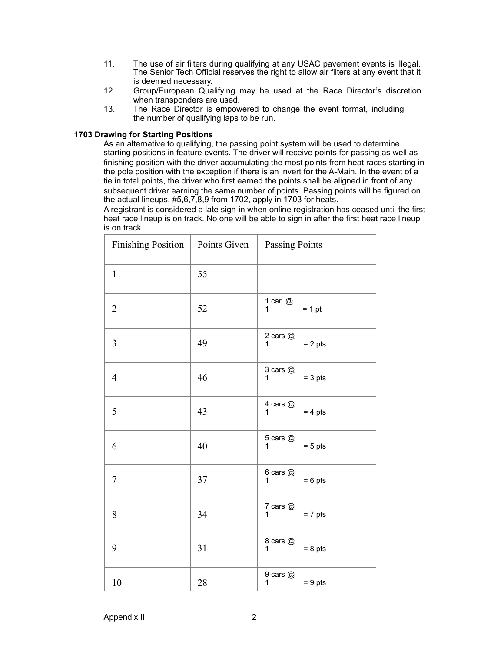- 11. The use of air filters during qualifying at any USAC pavement events is illegal. The Senior Tech Official reserves the right to allow air filters at any event that it is deemed necessary.
- 12. Group/European Qualifying may be used at the Race Director's discretion when transponders are used.
- 13. The Race Director is empowered to change the event format, including the number of qualifying laps to be run.

#### **1703 Drawing for Starting Positions**

As an alternative to qualifying, the passing point system will be used to determine starting positions in feature events. The driver will receive points for passing as well as finishing position with the driver accumulating the most points from heat races starting in the pole position with the exception if there is an invert for the A-Main. In the event of a tie in total points, the driver who first earned the points shall be aligned in front of any subsequent driver earning the same number of points. Passing points will be figured on the actual lineups. #5,6,7,8,9 from 1702, apply in 1703 for heats.

A registrant is considered a late sign-in when online registration has ceased until the first heat race lineup is on track. No one will be able to sign in after the first heat race lineup is on track.

| <b>Finishing Position</b> | Points Given | <b>Passing Points</b>                     |  |  |
|---------------------------|--------------|-------------------------------------------|--|--|
| $\mathbf{1}$              | 55           |                                           |  |  |
| $\overline{2}$            | 52           | 1 car $@$<br>$= 1 pt$<br>1                |  |  |
| $\overline{3}$            | 49           | 2 cars $@$<br>$= 2$ pts<br>1              |  |  |
| $\overline{4}$            | 46           | 3 cars @<br>$= 3$ pts<br>1                |  |  |
| 5                         | 43           | 4 cars @<br>$= 4$ pts<br>1                |  |  |
| 6                         | 40           | 5 cars @<br>$= 5$ pts<br>1                |  |  |
| 7                         | 37           | $6$ cars $@$<br>$= 6$ pts<br>1            |  |  |
| 8                         | 34           | 7 cars @<br>$= 7$ pts<br>1                |  |  |
| 9                         | 31           | 8 cars @<br>$= 8$ pts<br>$\mathbf{1}$     |  |  |
| 10                        | 28           | $9$ cars $@$<br>$= 9$ pts<br>$\mathbf{1}$ |  |  |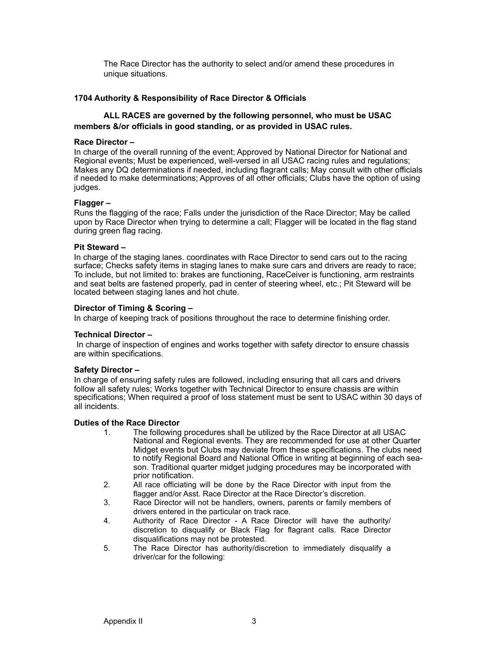The Race Director has the authority to select and/or amend these procedures in unique situations.

#### **1704 Authority & Responsibility of Race Director & Officials**

## **ALL RACES are governed by the following personnel, who must be USAC members &/or officials in good standing, or as provided in USAC rules.**

#### **Race Director –**

In charge of the overall running of the event; Approved by National Director for National and Regional events; Must be experienced, well-versed in all USAC racing rules and regulations; Makes any DQ determinations if needed, including flagrant calls; May consult with other officials if needed to make determinations; Approves of all other officials; Clubs have the option of using judges.

#### **Flagger –**

Runs the flagging of the race; Falls under the jurisdiction of the Race Director; May be called upon by Race Director when trying to determine a call; Flagger will be located in the flag stand during green flag racing.

#### **Pit Steward –**

In charge of the staging lanes. coordinates with Race Director to send cars out to the racing surface; Checks safety items in staging lanes to make sure cars and drivers are ready to race; To include, but not limited to: brakes are functioning, RaceCeiver is functioning, arm restraints and seat belts are fastened properly, pad in center of steering wheel, etc.; Pit Steward will be located between staging lanes and hot chute.

#### **Director of Timing & Scoring –**

In charge of keeping track of positions throughout the race to determine finishing order.

#### **Technical Director –**

In charge of inspection of engines and works together with safety director to ensure chassis are within specifications.

#### **Safety Director –**

In charge of ensuring safety rules are followed, including ensuring that all cars and drivers follow all safety rules; Works together with Technical Director to ensure chassis are within specifications; When required a proof of loss statement must be sent to USAC within 30 days of all incidents.

#### **Duties of the Race Director**

- 1. The following procedures shall be utilized by the Race Director at all USAC National and Regional events. They are recommended for use at other Quarter Midget events but Clubs may deviate from these specifications. The clubs need to notify Regional Board and National Office in writing at beginning of each season. Traditional quarter midget judging procedures may be incorporated with prior notification.
- 2. All race officiating will be done by the Race Director with input from the flagger and/or Asst. Race Director at the Race Director's discretion.
- 3. Race Director will not be handlers, owners, parents or family members of drivers entered in the particular on track race.
- 4. Authority of Race Director A Race Director will have the authority/ discretion to disqualify or Black Flag for flagrant calls. Race Director disqualifications may not be protested.
- 5. The Race Director has authority/discretion to immediately disqualify a driver/car for the following: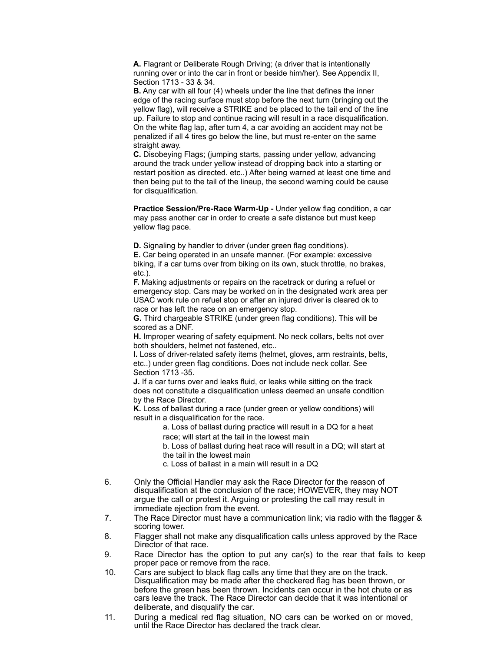**A.** Flagrant or Deliberate Rough Driving; (a driver that is intentionally running over or into the car in front or beside him/her). See Appendix II, Section 1713 - 33 & 34.

 **B.** Any car with all four (4) wheels under the line that defines the inner edge of the racing surface must stop before the next turn (bringing out the yellow flag), will receive a STRIKE and be placed to the tail end of the line up. Failure to stop and continue racing will result in a race disqualification. On the white flag lap, after turn 4, a car avoiding an accident may not be penalized if all 4 tires go below the line, but must re-enter on the same straight away.

 **C.** Disobeying Flags; (jumping starts, passing under yellow, advancing around the track under yellow instead of dropping back into a starting or restart position as directed. etc..) After being warned at least one time and then being put to the tail of the lineup, the second warning could be cause for disqualification.

 **Practice Session/Pre-Race Warm-Up -** Under yellow flag condition, a car may pass another car in order to create a safe distance but must keep yellow flag pace.

**D.** Signaling by handler to driver (under green flag conditions).

 **E.** Car being operated in an unsafe manner. (For example: excessive biking, if a car turns over from biking on its own, stuck throttle, no brakes, etc.).

 **F.** Making adjustments or repairs on the racetrack or during a refuel or emergency stop. Cars may be worked on in the designated work area per USAC work rule on refuel stop or after an injured driver is cleared ok to race or has left the race on an emergency stop.

 **G.** Third chargeable STRIKE (under green flag conditions). This will be scored as a DNF.

 **H.** Improper wearing of safety equipment. No neck collars, belts not over both shoulders, helmet not fastened, etc..

 **I.** Loss of driver-related safety items (helmet, gloves, arm restraints, belts, etc..) under green flag conditions. Does not include neck collar. See Section 1713 -35.

 **J.** If a car turns over and leaks fluid, or leaks while sitting on the track does not constitute a disqualification unless deemed an unsafe condition by the Race Director.

 **K.** Loss of ballast during a race (under green or yellow conditions) will result in a disqualification for the race.

> a. Loss of ballast during practice will result in a DQ for a heat race; will start at the tail in the lowest main

 b. Loss of ballast during heat race will result in a DQ; will start at the tail in the lowest main

c. Loss of ballast in a main will result in a DQ

- 6. Only the Official Handler may ask the Race Director for the reason of disqualification at the conclusion of the race; HOWEVER, they may NOT argue the call or protest it. Arguing or protesting the call may result in immediate ejection from the event.
- 7. The Race Director must have a communication link; via radio with the flagger & scoring tower.
- 8. Flagger shall not make any disqualification calls unless approved by the Race Director of that race.
- 9. Race Director has the option to put any car(s) to the rear that fails to keep proper pace or remove from the race.
- 10. Cars are subject to black flag calls any time that they are on the track. Disqualification may be made after the checkered flag has been thrown, or before the green has been thrown. Incidents can occur in the hot chute or as cars leave the track. The Race Director can decide that it was intentional or deliberate, and disqualify the car.
- 11. During a medical red flag situation, NO cars can be worked on or moved, until the Race Director has declared the track clear.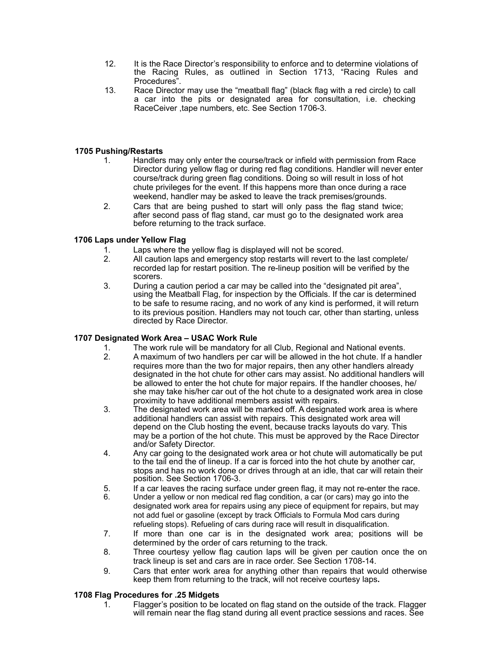- 12. It is the Race Director's responsibility to enforce and to determine violations of the Racing Rules, as outlined in Section 1713, "Racing Rules and Procedures".
- 13. Race Director may use the "meatball flag" (black flag with a red circle) to call a car into the pits or designated area for consultation, i.e. checking RaceCeiver ,tape numbers, etc. See Section 1706-3.

# **1705 Pushing/Restarts**

- 1. Handlers may only enter the course/track or infield with permission from Race Director during yellow flag or during red flag conditions. Handler will never enter course/track during green flag conditions. Doing so will result in loss of hot chute privileges for the event. If this happens more than once during a race weekend, handler may be asked to leave the track premises/grounds.
- 2. Cars that are being pushed to start will only pass the flag stand twice; after second pass of flag stand, car must go to the designated work area before returning to the track surface.

# **1706 Laps under Yellow Flag**

- 1. Laps where the yellow flag is displayed will not be scored.
- 2. All caution laps and emergency stop restarts will revert to the last complete/ recorded lap for restart position. The re-lineup position will be verified by the scorers.
- 3. During a caution period a car may be called into the "designated pit area", using the Meatball Flag, for inspection by the Officials. If the car is determined to be safe to resume racing, and no work of any kind is performed, it will return to its previous position. Handlers may not touch car, other than starting, unless directed by Race Director.

# **1707 Designated Work Area – USAC Work Rule**

- 1. The work rule will be mandatory for all Club, Regional and National events.
- 2. A maximum of two handlers per car will be allowed in the hot chute. If a handler requires more than the two for major repairs, then any other handlers already designated in the hot chute for other cars may assist. No additional handlers will be allowed to enter the hot chute for major repairs. If the handler chooses, he/ she may take his/her car out of the hot chute to a designated work area in close proximity to have additional members assist with repairs.
- 3. The designated work area will be marked off. A designated work area is where additional handlers can assist with repairs. This designated work area will depend on the Club hosting the event, because tracks layouts do vary. This may be a portion of the hot chute. This must be approved by the Race Director and/or Safety Director.
- 4. Any car going to the designated work area or hot chute will automatically be put to the tail end the of lineup. If a car is forced into the hot chute by another car, stops and has no work done or drives through at an idle, that car will retain their position. See Section 1706-3.
- 5. If a car leaves the racing surface under green flag, it may not re-enter the race.
- 6. Under a yellow or non medical red flag condition, a car (or cars) may go into the designated work area for repairs using any piece of equipment for repairs, but may not add fuel or gasoline (except by track Officials to Formula Mod cars during refueling stops). Refueling of cars during race will result in disqualification.
- 7. If more than one car is in the designated work area; positions will be determined by the order of cars returning to the track.
- 8. Three courtesy yellow flag caution laps will be given per caution once the on track lineup is set and cars are in race order. See Section 1708-14.
- 9. Cars that enter work area for anything other than repairs that would otherwise keep them from returning to the track, will not receive courtesy laps**.**

# **1708 Flag Procedures for .25 Midgets**

1. Flagger's position to be located on flag stand on the outside of the track. Flagger will remain near the flag stand during all event practice sessions and races. See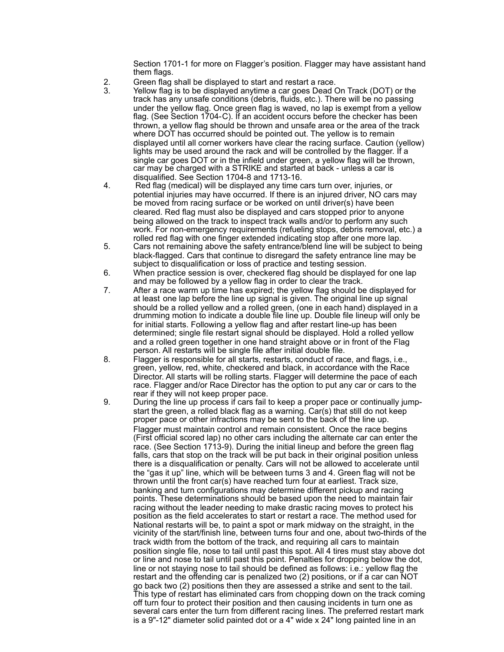Section 1701-1 for more on Flagger's position. Flagger may have assistant hand them flags.

- 2. Green flag shall be displayed to start and restart a race.
- 3. Yellow flag is to be displayed anytime a car goes Dead On Track (DOT) or the track has any unsafe conditions (debris, fluids, etc.). There will be no passing under the yellow flag. Once green flag is waved, no lap is exempt from a yellow flag. (See Section 1704- C). If an accident occurs before the checker has been thrown, a yellow flag should be thrown and unsafe area or the area of the track where DOT has occurred should be pointed out. The yellow is to remain displayed until all corner workers have clear the racing surface. Caution (yellow) lights may be used around the rack and will be controlled by the flagger. If a single car goes DOT or in the infield under green, a yellow flag will be thrown, car may be charged with a STRIKE and started at back - unless a car is disqualified. See Section 1704-8 and 1713-16.<br>4. Red flag (medical) will be displayed any time of
	- Red flag (medical) will be displayed any time cars turn over, injuries, or potential injuries may have occurred. If there is an injured driver, NO cars may be moved from racing surface or be worked on until driver(s) have been cleared. Red flag must also be displayed and cars stopped prior to anyone being allowed on the track to inspect track walls and/or to perform any such work. For non-emergency requirements (refueling stops, debris removal, etc.) a rolled red flag with one finger extended indicating stop after one more lap.<br>5. Cars not remaining above the safety entrance/blend line will be subject to
	- Cars not remaining above the safety entrance/blend line will be subject to being black-flagged. Cars that continue to disregard the safety entrance line may be subject to disqualification or loss of practice and testing session.
	- 6. When practice session is over, checkered flag should be displayed for one lap and may be followed by a yellow flag in order to clear the track.
	- 7. After a race warm up time has expired; the yellow flag should be displayed for at least one lap before the line up signal is given. The original line up signal should be a rolled yellow and a rolled green, (one in each hand) displayed in a drumming motion to indicate a double file line up. Double file lineup will only be for initial starts. Following a yellow flag and after restart line-up has been determined; single file restart signal should be displayed. Hold a rolled yellow and a rolled green together in one hand straight above or in front of the Flag person. All restarts will be single file after initial double file.
	- 8. Flagger is responsible for all starts, restarts, conduct of race, and flags, i.e., green, yellow, red, white, checkered and black, in accordance with the Race Director. All starts will be rolling starts. Flagger will determine the pace of each race. Flagger and/or Race Director has the option to put any car or cars to the
	- rear if they will not keep proper pace.<br>9. During the line up process if cars fail During the line up process if cars fail to keep a proper pace or continually jump start the green, a rolled black flag as a warning. Car(s) that still do not keep proper pace or other infractions may be sent to the back of the line up. Flagger must maintain control and remain consistent. Once the race begins (First official scored lap) no other cars including the alternate car can enter the race. (See Section 1713-9). During the initial lineup and before the green flag falls, cars that stop on the track will be put back in their original position unless there is a disqualification or penalty. Cars will not be allowed to accelerate until the "gas it up" line, which will be between turns 3 and 4. Green flag will not be thrown until the front car(s) have reached turn four at earliest. Track size, banking and turn configurations may determine different pickup and racing points. These determinations should be based upon the need to maintain fair racing without the leader needing to make drastic racing moves to protect his position as the field accelerates to start or restart a race. The method used for National restarts will be, to paint a spot or mark midway on the straight, in the vicinity of the start/finish line, between turns four and one, about two-thirds of the track width from the bottom of the track, and requiring all cars to maintain position single file, nose to tail until past this spot. All 4 tires must stay above dot or line and nose to tail until past this point. Penalties for dropping below the dot, line or not staying nose to tail should be defined as follows: i.e.: yellow flag the restart and the offending car is penalized two (2) positions, or if a car can NOT go back two (2) positions then they are assessed a strike and sent to the tail. This type of restart has eliminated cars from chopping down on the track coming off turn four to protect their position and then causing incidents in turn one as several cars enter the turn from different racing lines. The preferred restart mark is a 9"-12" diameter solid painted dot or a 4" wide x 24" long painted line in an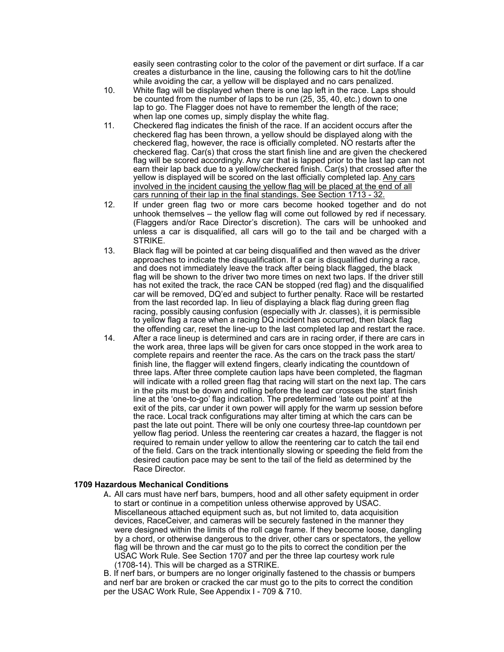easily seen contrasting color to the color of the pavement or dirt surface. If a car creates a disturbance in the line, causing the following cars to hit the dot/line

- while avoiding the car, a yellow will be displayed and no cars penalized.<br>10. White flag will be displayed when there is one lap left in the race. Laps s White flag will be displayed when there is one lap left in the race. Laps should be counted from the number of laps to be run (25, 35, 40, etc.) down to one lap to go. The Flagger does not have to remember the length of the race; when lap one comes up, simply display the white flag.
- 11. Checkered flag indicates the finish of the race. If an accident occurs after the checkered flag has been thrown, a yellow should be displayed along with the checkered flag, however, the race is officially completed. NO restarts after the checkered flag. Car(s) that cross the start finish line and are given the checkered flag will be scored accordingly. Any car that is lapped prior to the last lap can not earn their lap back due to a yellow/checkered finish. Car(s) that crossed after the yellow is displayed will be scored on the last officially completed lap. Any cars involved in the incident causing the yellow flag will be placed at the end of all cars running of their lap in the final standings. See Section 1713 - 32.
- 12. If under green flag two or more cars become hooked together and do not unhook themselves – the yellow flag will come out followed by red if necessary. (Flaggers and/or Race Director's discretion). The cars will be unhooked and unless a car is disqualified, all cars will go to the tail and be charged with a STRIKE.
- 13. Black flag will be pointed at car being disqualified and then waved as the driver approaches to indicate the disqualification. If a car is disqualified during a race, and does not immediately leave the track after being black flagged, the black flag will be shown to the driver two more times on next two laps. If the driver still has not exited the track, the race CAN be stopped (red flag) and the disqualified car will be removed, DQ'ed and subject to further penalty. Race will be restarted from the last recorded lap. In lieu of displaying a black flag during green flag racing, possibly causing confusion (especially with Jr. classes), it is permissible to yellow flag a race when a racing DQ incident has occurred, then black flag the offending car, reset the line-up to the last completed lap and restart the race.
- 14. After a race lineup is determined and cars are in racing order, if there are cars in the work area, three laps will be given for cars once stopped in the work area to complete repairs and reenter the race. As the cars on the track pass the start/ finish line, the flagger will extend fingers, clearly indicating the countdown of three laps. After three complete caution laps have been completed, the flagman will indicate with a rolled green flag that racing will start on the next lap. The cars in the pits must be down and rolling before the lead car crosses the start finish line at the 'one-to-go' flag indication. The predetermined 'late out point' at the exit of the pits, car under it own power will apply for the warm up session before the race. Local track configurations may alter timing at which the cars can be past the late out point. There will be only one courtesy three-lap countdown per yellow flag period. Unless the reentering car creates a hazard, the flagger is not required to remain under yellow to allow the reentering car to catch the tail end of the field. Cars on the track intentionally slowing or speeding the field from the desired caution pace may be sent to the tail of the field as determined by the Race Director.

#### **1709 Hazardous Mechanical Conditions**

A. All cars must have nerf bars, bumpers, hood and all other safety equipment in order to start or continue in a competition unless otherwise approved by USAC. Miscellaneous attached equipment such as, but not limited to, data acquisition devices, RaceCeiver, and cameras will be securely fastened in the manner they were designed within the limits of the roll cage frame. If they become loose, dangling by a chord, or otherwise dangerous to the driver, other cars or spectators, the yellow flag will be thrown and the car must go to the pits to correct the condition per the USAC Work Rule. See Section 1707 and per the three lap courtesy work rule (1708-14). This will be charged as a STRIKE.

B. If nerf bars, or bumpers are no longer originally fastened to the chassis or bumpers and nerf bar are broken or cracked the car must go to the pits to correct the condition per the USAC Work Rule, See Appendix I - 709 & 710.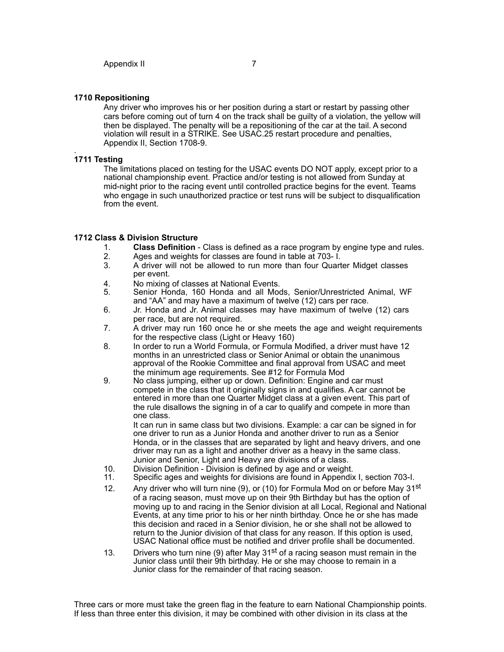Any driver who improves his or her position during a start or restart by passing other cars before coming out of turn 4 on the track shall be guilty of a violation, the yellow will then be displayed. The penalty will be a repositioning of the car at the tail. A second violation will result in a STRIKE. See USAC.25 restart procedure and penalties, Appendix II, Section 1708-9.

#### **1711 Testing**

The limitations placed on testing for the USAC events DO NOT apply, except prior to a national championship event. Practice and/or testing is not allowed from Sunday at mid-night prior to the racing event until controlled practice begins for the event. Teams who engage in such unauthorized practice or test runs will be subject to disqualification from the event.

#### **1712 Class & Division Structure**

- 1. **Class Definition**  Class is defined as a race program by engine type and rules.
- 2. Ages and weights for classes are found in table at 703- I.
- 3. A driver will not be allowed to run more than four Quarter Midget classes per event.
- 4. No mixing of classes at National Events.<br>5. Senior Honda, 160 Honda, and all Moo
- Senior Honda, 160 Honda and all Mods, Senior/Unrestricted Animal, WF and "AA" and may have a maximum of twelve (12) cars per race.
- 6. Jr. Honda and Jr. Animal classes may have maximum of twelve (12) cars per race, but are not required.
- 7. A driver may run 160 once he or she meets the age and weight requirements for the respective class (Light or Heavy 160)
- 8. In order to run a World Formula, or Formula Modified, a driver must have 12 months in an unrestricted class or Senior Animal or obtain the unanimous approval of the Rookie Committee and final approval from USAC and meet the minimum age requirements. See #12 for Formula Mod
- 9. No class jumping, either up or down. Definition: Engine and car must compete in the class that it originally signs in and qualifies. A car cannot be entered in more than one Quarter Midget class at a given event. This part of the rule disallows the signing in of a car to qualify and compete in more than one class.

It can run in same class but two divisions. Example: a car can be signed in for one driver to run as a Junior Honda and another driver to run as a Senior Honda, or in the classes that are separated by light and heavy drivers, and one driver may run as a light and another driver as a heavy in the same class. Junior and Senior, Light and Heavy are divisions of a class.

- 
- 10. Division Definition Division is defined by age and or weight.<br>11. Specific ages and weights for divisions are found in Appendix 11. Specific ages and weights for divisions are found in Appendix I, section 703-I.
- 12. Any driver who will turn nine (9), or (10) for Formula Mod on or before May 31<sup>st</sup> of a racing season, must move up on their 9th Birthday but has the option of moving up to and racing in the Senior division at all Local, Regional and National Events, at any time prior to his or her ninth birthday. Once he or she has made this decision and raced in a Senior division, he or she shall not be allowed to return to the Junior division of that class for any reason. If this option is used, USAC National office must be notified and driver profile shall be documented.
- 13. Drivers who turn nine (9) after May  $31<sup>st</sup>$  of a racing season must remain in the Junior class until their 9th birthday. He or she may choose to remain in a Junior class for the remainder of that racing season.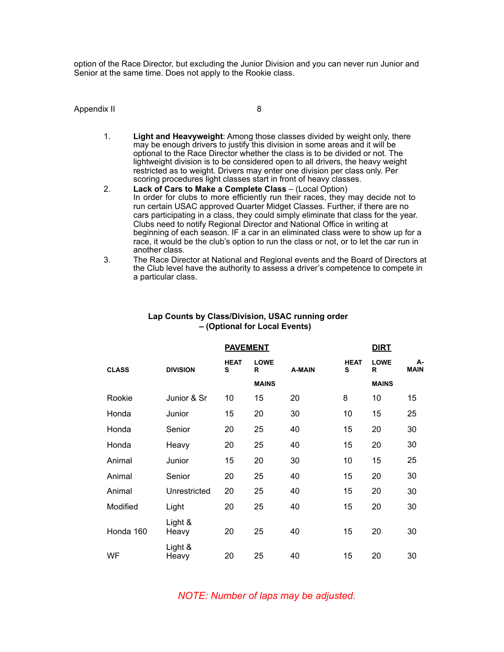option of the Race Director, but excluding the Junior Division and you can never run Junior and Senior at the same time. Does not apply to the Rookie class.

#### Appendix II 8

- 1. **Light and Heavyweight**: Among those classes divided by weight only, there may be enough drivers to justify this division in some areas and it will be optional to the Race Director whether the class is to be divided or not. The lightweight division is to be considered open to all drivers, the heavy weight restricted as to weight. Drivers may enter one division per class only. Per scoring procedures light classes start in front of heavy classes.
- 2. **Lack of Cars to Make a Complete Class** (Local Option) In order for clubs to more efficiently run their races, they may decide not to run certain USAC approved Quarter Midget Classes. Further, if there are no cars participating in a class, they could simply eliminate that class for the year. Clubs need to notify Regional Director and National Office in writing at beginning of each season. IF a car in an eliminated class were to show up for a race, it would be the club's option to run the class or not, or to let the car run in another class.
- 3. The Race Director at National and Regional events and the Board of Directors at the Club level have the authority to assess a driver's competence to compete in a particular class.

|              |                  | <b>PAVEMENT</b>  |                  |        |                  | <b>DIRT</b>      |                   |  |
|--------------|------------------|------------------|------------------|--------|------------------|------------------|-------------------|--|
| <b>CLASS</b> | <b>DIVISION</b>  | <b>HEAT</b><br>S | <b>LOWE</b><br>R | A-MAIN | <b>HEAT</b><br>s | <b>LOWE</b><br>R | А-<br><b>MAIN</b> |  |
|              |                  |                  | <b>MAINS</b>     |        |                  | <b>MAINS</b>     |                   |  |
| Rookie       | Junior & Sr      | 10               | 15               | 20     | 8                | 10               | 15                |  |
| Honda        | Junior           | 15               | 20               | 30     | 10               | 15               | 25                |  |
| Honda        | Senior           | 20               | 25               | 40     | 15               | 20               | 30                |  |
| Honda        | Heavy            | 20               | 25               | 40     | 15               | 20               | 30                |  |
| Animal       | Junior           | 15               | 20               | 30     | 10               | 15               | 25                |  |
| Animal       | Senior           | 20               | 25               | 40     | 15               | 20               | 30                |  |
| Animal       | Unrestricted     | 20               | 25               | 40     | 15               | 20               | 30                |  |
| Modified     | Light            | 20               | 25               | 40     | 15               | 20               | 30                |  |
| Honda 160    | Light &<br>Heavy | 20               | 25               | 40     | 15               | 20               | 30                |  |
| WF           | Light &<br>Heavy | 20               | 25               | 40     | 15               | 20               | 30                |  |

#### **Lap Counts by Class/Division, USAC running order – (Optional for Local Events)**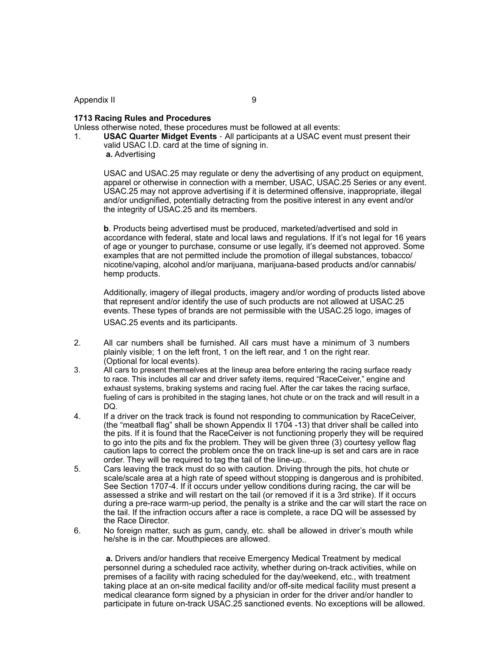#### Appendix II 9

#### **1713 Racing Rules and Procedures**

Unless otherwise noted, these procedures must be followed at all events:

1. **USAC Quarter Midget Events** - All participants at a USAC event must present their valid USAC I.D. card at the time of signing in.  **a.** Advertising

USAC and USAC.25 may regulate or deny the advertising of any product on equipment, apparel or otherwise in connection with a member, USAC, USAC.25 Series or any event. USAC.25 may not approve advertising if it is determined offensive, inappropriate, illegal and/or undignified, potentially detracting from the positive interest in any event and/or the integrity of USAC.25 and its members.

**b**. Products being advertised must be produced, marketed/advertised and sold in accordance with federal, state and local laws and regulations. If it's not legal for 16 years of age or younger to purchase, consume or use legally, it's deemed not approved. Some examples that are not permitted include the promotion of illegal substances, tobacco/ nicotine/vaping, alcohol and/or marijuana, marijuana-based products and/or cannabis/ hemp products.

Additionally, imagery of illegal products, imagery and/or wording of products listed above that represent and/or identify the use of such products are not allowed at USAC.25 events. These types of brands are not permissible with the USAC.25 logo, images of USAC.25 events and its participants.

- 2. All car numbers shall be furnished. All cars must have a minimum of 3 numbers plainly visible; 1 on the left front, 1 on the left rear, and 1 on the right rear. (Optional for local events).
- 3. All cars to present themselves at the lineup area before entering the racing surface ready to race. This includes all car and driver safety items, required "RaceCeiver," engine and exhaust systems, braking systems and racing fuel. After the car takes the racing surface, fueling of cars is prohibited in the staging lanes, hot chute or on the track and will result in a DQ.
- 4. If a driver on the track track is found not responding to communication by RaceCeiver, (the "meatball flag" shall be shown Appendix II 1704 -13) that driver shall be called into the pits. If it is found that the RaceCeiver is not functioning properly they will be required to go into the pits and fix the problem. They will be given three (3) courtesy yellow flag caution laps to correct the problem once the on track line-up is set and cars are in race order. They will be required to tag the tail of the line-up..
- 5. Cars leaving the track must do so with caution. Driving through the pits, hot chute or scale/scale area at a high rate of speed without stopping is dangerous and is prohibited. See Section 1707-4. If it occurs under yellow conditions during racing, the car will be assessed a strike and will restart on the tail (or removed if it is a 3rd strike). If it occurs during a pre-race warm-up period, the penalty is a strike and the car will start the race on the tail. If the infraction occurs after a race is complete, a race DQ will be assessed by the Race Director.
- 6. No foreign matter, such as gum, candy, etc. shall be allowed in driver's mouth while he/she is in the car. Mouthpieces are allowed.

 **a.** Drivers and/or handlers that receive Emergency Medical Treatment by medical personnel during a scheduled race activity, whether during on-track activities, while on premises of a facility with racing scheduled for the day/weekend, etc., with treatment taking place at an on-site medical facility and/or off-site medical facility must present a medical clearance form signed by a physician in order for the driver and/or handler to participate in future on-track USAC.25 sanctioned events. No exceptions will be allowed.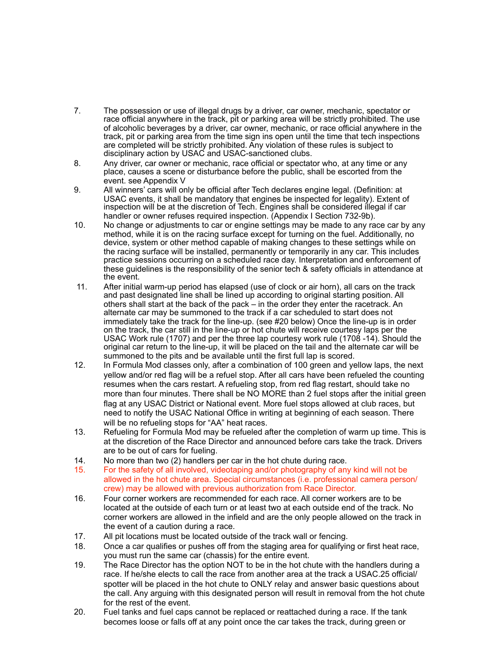- 7. The possession or use of illegal drugs by a driver, car owner, mechanic, spectator or race official anywhere in the track, pit or parking area will be strictly prohibited. The use of alcoholic beverages by a driver, car owner, mechanic, or race official anywhere in the track, pit or parking area from the time sign ins open until the time that tech inspections are completed will be strictly prohibited. Any violation of these rules is subject to disciplinary action by USAC and USAC-sanctioned clubs.
- 8. Any driver, car owner or mechanic, race official or spectator who, at any time or any place, causes a scene or disturbance before the public, shall be escorted from the event. see Appendix V
- 9. All winners' cars will only be official after Tech declares engine legal. (Definition: at USAC events, it shall be mandatory that engines be inspected for legality). Extent of inspection will be at the discretion of Tech. Engines shall be considered illegal if car handler or owner refuses required inspection. (Appendix I Section 732-9b).
- 10. No change or adjustments to car or engine settings may be made to any race car by any method, while it is on the racing surface except for turning on the fuel. Additionally, no device, system or other method capable of making changes to these settings while on the racing surface will be installed, permanently or temporarily in any car. This includes practice sessions occurring on a scheduled race day. Interpretation and enforcement of these guidelines is the responsibility of the senior tech & safety officials in attendance at the event.
- 11. After initial warm-up period has elapsed (use of clock or air horn), all cars on the track and past designated line shall be lined up according to original starting position. All others shall start at the back of the pack – in the order they enter the racetrack. An alternate car may be summoned to the track if a car scheduled to start does not immediately take the track for the line-up. (see #20 below) Once the line-up is in order on the track, the car still in the line-up or hot chute will receive courtesy laps per the USAC Work rule (1707) and per the three lap courtesy work rule (1708 -14). Should the original car return to the line-up, it will be placed on the tail and the alternate car will be summoned to the pits and be available until the first full lap is scored.
- 12. In Formula Mod classes only, after a combination of 100 green and yellow laps, the next yellow and/or red flag will be a refuel stop. After all cars have been refueled the counting resumes when the cars restart. A refueling stop, from red flag restart, should take no more than four minutes. There shall be NO MORE than 2 fuel stops after the initial green flag at any USAC District or National event. More fuel stops allowed at club races, but need to notify the USAC National Office in writing at beginning of each season. There will be no refueling stops for "AA" heat races.
- 13. Refueling for Formula Mod may be refueled after the completion of warm up time. This is at the discretion of the Race Director and announced before cars take the track. Drivers are to be out of cars for fueling.
- 14. No more than two (2) handlers per car in the hot chute during race.
- 15. For the safety of all involved, videotaping and/or photography of any kind will not be allowed in the hot chute area. Special circumstances (i.e. professional camera person/ crew) may be allowed with previous authorization from Race Director.
- 16. Four corner workers are recommended for each race. All corner workers are to be located at the outside of each turn or at least two at each outside end of the track. No corner workers are allowed in the infield and are the only people allowed on the track in the event of a caution during a race.
- 17. All pit locations must be located outside of the track wall or fencing.
- 18. Once a car qualifies or pushes off from the staging area for qualifying or first heat race, you must run the same car (chassis) for the entire event.
- 19. The Race Director has the option NOT to be in the hot chute with the handlers during a race. If he/she elects to call the race from another area at the track a USAC.25 official/ spotter will be placed in the hot chute to ONLY relay and answer basic questions about the call. Any arguing with this designated person will result in removal from the hot chute for the rest of the event.
- 20. Fuel tanks and fuel caps cannot be replaced or reattached during a race. If the tank becomes loose or falls off at any point once the car takes the track, during green or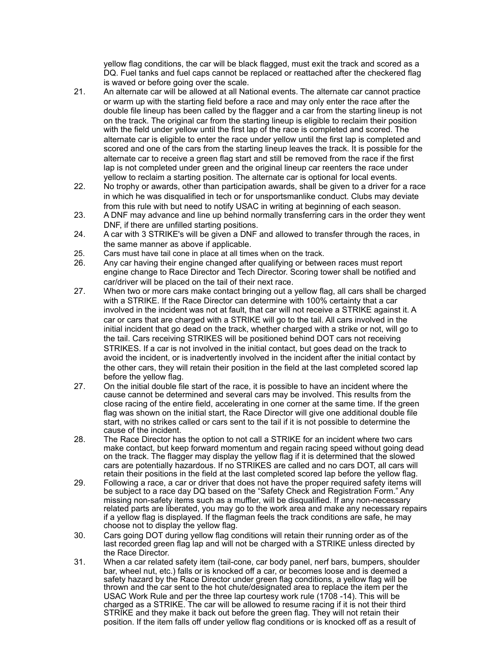yellow flag conditions, the car will be black flagged, must exit the track and scored as a DQ. Fuel tanks and fuel caps cannot be replaced or reattached after the checkered flag is waved or before going over the scale.

- 21. An alternate car will be allowed at all National events. The alternate car cannot practice or warm up with the starting field before a race and may only enter the race after the double file lineup has been called by the flagger and a car from the starting lineup is not on the track. The original car from the starting lineup is eligible to reclaim their position with the field under yellow until the first lap of the race is completed and scored. The alternate car is eligible to enter the race under yellow until the first lap is completed and scored and one of the cars from the starting lineup leaves the track. It is possible for the alternate car to receive a green flag start and still be removed from the race if the first lap is not completed under green and the original lineup car reenters the race under yellow to reclaim a starting position. The alternate car is optional for local events.
- 22. No trophy or awards, other than participation awards, shall be given to a driver for a race in which he was disqualified in tech or for unsportsmanlike conduct. Clubs may deviate from this rule with but need to notify USAC in writing at beginning of each season.
- 23. A DNF may advance and line up behind normally transferring cars in the order they went DNF, if there are unfilled starting positions.
- 24. A car with 3 STRIKE's will be given a DNF and allowed to transfer through the races, in the same manner as above if applicable.
- 25. Cars must have tail cone in place at all times when on the track.
- 26. Any car having their engine changed after qualifying or between races must report engine change to Race Director and Tech Director. Scoring tower shall be notified and car/driver will be placed on the tail of their next race.
- 27. When two or more cars make contact bringing out a yellow flag, all cars shall be charged with a STRIKE. If the Race Director can determine with 100% certainty that a car involved in the incident was not at fault, that car will not receive a STRIKE against it. A car or cars that are charged with a STRIKE will go to the tail. All cars involved in the initial incident that go dead on the track, whether charged with a strike or not, will go to the tail. Cars receiving STRIKES will be positioned behind DOT cars not receiving STRIKES. If a car is not involved in the initial contact, but goes dead on the track to avoid the incident, or is inadvertently involved in the incident after the initial contact by the other cars, they will retain their position in the field at the last completed scored lap before the yellow flag.
- 27. On the initial double file start of the race, it is possible to have an incident where the cause cannot be determined and several cars may be involved. This results from the close racing of the entire field, accelerating in one corner at the same time. If the green flag was shown on the initial start, the Race Director will give one additional double file start, with no strikes called or cars sent to the tail if it is not possible to determine the cause of the incident.
- 28. The Race Director has the option to not call a STRIKE for an incident where two cars make contact, but keep forward momentum and regain racing speed without going dead on the track. The flagger may display the yellow flag if it is determined that the slowed cars are potentially hazardous. If no STRIKES are called and no cars DOT, all cars will retain their positions in the field at the last completed scored lap before the yellow flag.
- 29. Following a race, a car or driver that does not have the proper required safety items will be subject to a race day DQ based on the "Safety Check and Registration Form." Any missing non-safety items such as a muffler, will be disqualified. If any non-necessary related parts are liberated, you may go to the work area and make any necessary repairs if a yellow flag is displayed. If the flagman feels the track conditions are safe, he may choose not to display the yellow flag.
- 30. Cars going DOT during yellow flag conditions will retain their running order as of the last recorded green flag lap and will not be charged with a STRIKE unless directed by the Race Director.
- 31. When a car related safety item (tail-cone, car body panel, nerf bars, bumpers, shoulder bar, wheel nut, etc.) falls or is knocked off a car, or becomes loose and is deemed a safety hazard by the Race Director under green flag conditions, a yellow flag will be thrown and the car sent to the hot chute/designated area to replace the item per the USAC Work Rule and per the three lap courtesy work rule (1708 -14). This will be charged as a STRIKE. The car will be allowed to resume racing if it is not their third STRIKE and they make it back out before the green flag. They will not retain their position. If the item falls off under yellow flag conditions or is knocked off as a result of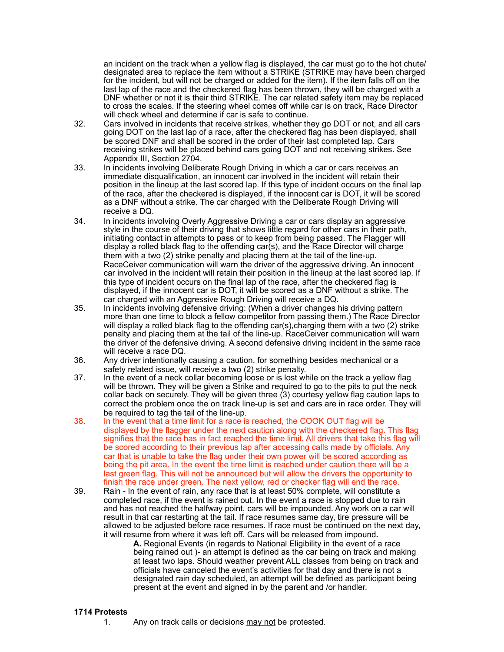an incident on the track when a yellow flag is displayed, the car must go to the hot chute/ designated area to replace the item without a STRIKE (STRIKE may have been charged for the incident, but will not be charged or added for the item). If the item falls off on the last lap of the race and the checkered flag has been thrown, they will be charged with a DNF whether or not it is their third STRIKE. The car related safety item may be replaced to cross the scales. If the steering wheel comes off while car is on track, Race Director will check wheel and determine if car is safe to continue.

- 32. Cars involved in incidents that receive strikes, whether they go DOT or not, and all cars going DOT on the last lap of a race, after the checkered flag has been displayed, shall be scored DNF and shall be scored in the order of their last completed lap. Cars receiving strikes will be placed behind cars going DOT and not receiving strikes. See Appendix III, Section 2704.
- 33. In incidents involving Deliberate Rough Driving in which a car or cars receives an immediate disqualification, an innocent car involved in the incident will retain their position in the lineup at the last scored lap. If this type of incident occurs on the final lap of the race, after the checkered is displayed, if the innocent car is DOT, it will be scored as a DNF without a strike. The car charged with the Deliberate Rough Driving will receive a DQ.
- 34. In incidents involving Overly Aggressive Driving a car or cars display an aggressive style in the course of their driving that shows little regard for other cars in their path, initiating contact in attempts to pass or to keep from being passed. The Flagger will display a rolled black flag to the offending car(s), and the Race Director will charge them with a two (2) strike penalty and placing them at the tail of the line-up. RaceCeiver communication will warn the driver of the aggressive driving. An innocent car involved in the incident will retain their position in the lineup at the last scored lap. If this type of incident occurs on the final lap of the race, after the checkered flag is displayed, if the innocent car is DOT, it will be scored as a DNF without a strike. The car charged with an Aggressive Rough Driving will receive a DQ.
- 35. In incidents involving defensive driving: (When a driver changes his driving pattern more than one time to block a fellow competitor from passing them.) The Race Director will display a rolled black flag to the offending car(s),charging them with a two (2) strike penalty and placing them at the tail of the line-up. RaceCeiver communication will warn the driver of the defensive driving. A second defensive driving incident in the same race will receive a race DQ.
- 36. Any driver intentionally causing a caution, for something besides mechanical or a safety related issue, will receive a two (2) strike penalty.
- 37. In the event of a neck collar becoming loose or is lost while on the track a yellow flag will be thrown. They will be given a Strike and required to go to the pits to put the neck collar back on securely. They will be given three (3) courtesy yellow flag caution laps to correct the problem once the on track line-up is set and cars are in race order. They will be required to tag the tail of the line-up.
- 38. In the event that a time limit for a race is reached, the COOK OUT flag will be displayed by the flagger under the next caution along with the checkered flag. This flag signifies that the race has in fact reached the time limit. All drivers that take this flag will be scored according to their previous lap after accessing calls made by officials. Any car that is unable to take the flag under their own power will be scored according as being the pit area. In the event the time limit is reached under caution there will be a last green flag. This will not be announced but will allow the drivers the opportunity to finish the race under green. The next yellow, red or checker flag will end the race.
- 39. Rain In the event of rain, any race that is at least 50% complete, will constitute a completed race, if the event is rained out. In the event a race is stopped due to rain and has not reached the halfway point, cars will be impounded. Any work on a car will result in that car restarting at the tail. If race resumes same day, tire pressure will be allowed to be adjusted before race resumes. If race must be continued on the next day, it will resume from where it was left off. Cars will be released from impound**.**

 **A.** Regional Events (in regards to National Eligibility in the event of a race being rained out )- an attempt is defined as the car being on track and making at least two laps. Should weather prevent ALL classes from being on track and officials have canceled the event's activities for that day and there is not a designated rain day scheduled, an attempt will be defined as participant being present at the event and signed in by the parent and /or handler.

## **1714 Protests**

1. Any on track calls or decisions may not be protested.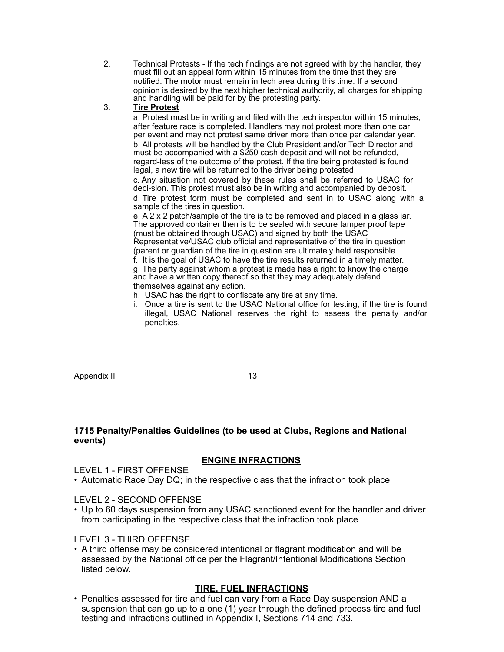2. Technical Protests - If the tech findings are not agreed with by the handler, they must fill out an appeal form within 15 minutes from the time that they are notified. The motor must remain in tech area during this time. If a second opinion is desired by the next higher technical authority, all charges for shipping and handling will be paid for by the protesting party.

# 3. **Tire Protest**

a. Protest must be in writing and filed with the tech inspector within 15 minutes, after feature race is completed. Handlers may not protest more than one car per event and may not protest same driver more than once per calendar year. b. All protests will be handled by the Club President and/or Tech Director and must be accompanied with a \$250 cash deposit and will not be refunded, regard-less of the outcome of the protest. If the tire being protested is found legal, a new tire will be returned to the driver being protested.

c. Any situation not covered by these rules shall be referred to USAC for deci-sion. This protest must also be in writing and accompanied by deposit. d. Tire protest form must be completed and sent in to USAC along with a sample of the tires in question.

e. A 2 x 2 patch/sample of the tire is to be removed and placed in a glass jar. The approved container then is to be sealed with secure tamper proof tape (must be obtained through USAC) and signed by both the USAC Representative/USAC club official and representative of the tire in question (parent or guardian of the tire in question are ultimately held responsible.

f. It is the goal of USAC to have the tire results returned in a timely matter. g. The party against whom a protest is made has a right to know the charge and have a written copy thereof so that they may adequately defend themselves against any action.

- h. USAC has the right to confiscate any tire at any time.
- i. Once a tire is sent to the USAC National office for testing, if the tire is found illegal, USAC National reserves the right to assess the penalty and/or penalties.

Appendix II 13

# **1715 Penalty/Penalties Guidelines (to be used at Clubs, Regions and National events)**

# **ENGINE INFRACTIONS**

LEVEL 1 - FIRST OFFENSE

• Automatic Race Day DQ; in the respective class that the infraction took place

LEVEL 2 - SECOND OFFENSE

• Up to 60 days suspension from any USAC sanctioned event for the handler and driver from participating in the respective class that the infraction took place

# LEVEL 3 - THIRD OFFENSE

• A third offense may be considered intentional or flagrant modification and will be assessed by the National office per the Flagrant/Intentional Modifications Section listed below.

# **TIRE, FUEL INFRACTIONS**

• Penalties assessed for tire and fuel can vary from a Race Day suspension AND a suspension that can go up to a one (1) year through the defined process tire and fuel testing and infractions outlined in Appendix I, Sections 714 and 733.